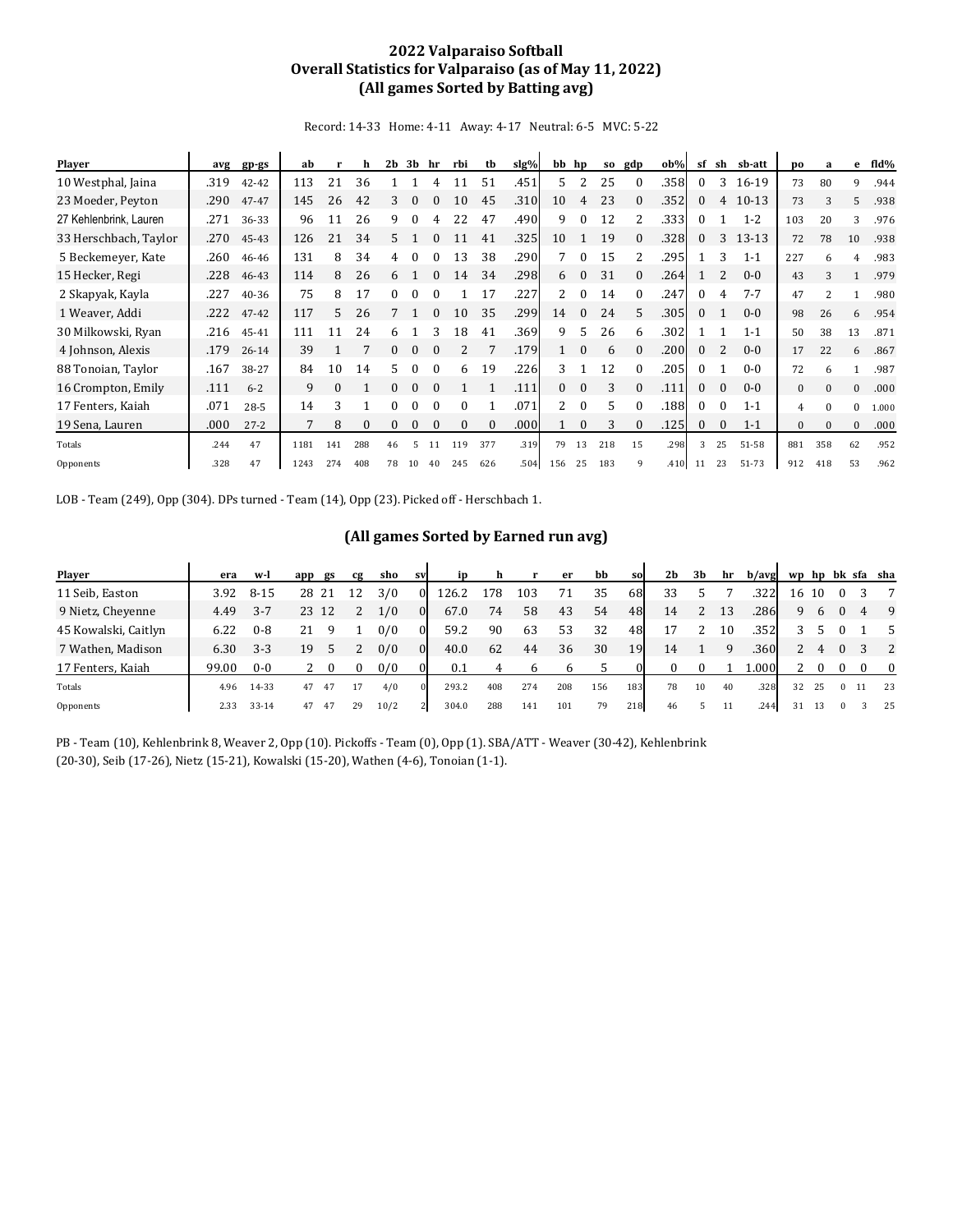## **2022 Valparaiso Softball Overall Statistics for Valparaiso (as of May 11, 2022) (All games Sorted by Batting avg)**

Record: 14-33 Home: 4-11 Away: 4-17 Neutral: 6-5 MVC: 5-22

| <b>Player</b>          | avg  | $gp-gs$   | ab   |          | h        | 2 <sub>b</sub> | 3b           | hr       | rbi      | tb       | slg% | bb                        | hp           | S <sub>0</sub> | gdp      | $ob\%$ | sf           | sh       | sb-att  | DO           | a        | e            | fld%  |
|------------------------|------|-----------|------|----------|----------|----------------|--------------|----------|----------|----------|------|---------------------------|--------------|----------------|----------|--------|--------------|----------|---------|--------------|----------|--------------|-------|
| 10 Westphal, Jaina     | .319 | 42-42     | 113  | 21       | 36       |                |              |          | 11       | 51       | .451 | 5.                        | 2            | 25             |          | .358   | $\theta$     | 3        | $16-19$ | 73           | 80       | 9            | .944  |
| 23 Moeder, Peyton      | .290 | 47-47     | 145  | 26       | 42       | 3              | $\Omega$     | 0        | 10       | 45       | .310 | 10                        | 4            | 23             | $\Omega$ | .352   | 0            | 4        | $10-13$ | 73           | 3        | 5            | .938  |
| 27 Kehlenbrink, Lauren | .271 | 36-33     | 96   | 11       | 26       | 9              | $\theta$     | 4        | 22       | 47       | .490 | 9                         | $\Omega$     | 12             | 2        | .333   | 0            |          | $1 - 2$ | 103          | 20       | 3            | .976  |
| 33 Herschbach, Taylor  | .270 | 45-43     | 126  | 21       | 34       | 5.             |              | 0        | 11       | 41       | .325 | 10                        |              | 19             | $\Omega$ | .328   | $\Omega$     | 3        | 13-13   | 72           | 78       | 10           | .938  |
| 5 Beckemeyer, Kate     | .260 | 46-46     | 131  | 8        | 34       | 4              | 0            |          | 13       | 38       | .290 |                           | 0            | 15             |          | .295   |              |          | $1 - 1$ | 227          | 6        | 4            | .983  |
| 15 Hecker, Regi        | .228 | 46-43     | 114  | 8        | 26       | 6              |              | $\Omega$ | 14       | 34       | .298 | 6                         | $\Omega$     | 31             | $\Omega$ | .264   |              |          | $0 - 0$ | 43           | 3        |              | .979  |
| 2 Skapyak, Kayla       | .227 | 40-36     | 75   | 8        | 17       | $\Omega$       | 0            |          |          | 17       | .227 |                           | $\Omega$     | 14             |          | .247   | $\Omega$     | 4        | $7 - 7$ | 47           |          |              | .980  |
| 1 Weaver, Addi         | .222 | 47-42     | 117  | 5        | 26       | 7              |              | $\Omega$ | 10       | 35       | .299 | 14                        | $\Omega$     | 24             | 5.       | .305   | $\mathbf{0}$ |          | $0 - 0$ | 98           | 26       | 6            | .954  |
| 30 Milkowski, Ryan     | .216 | 45-41     | 111  | 11       | 24       | 6              |              |          | 18       | 41       | .369 | 9                         | 5.           | 26             | 6        | .302   |              |          | $1 - 1$ | 50           | 38       | 13           | .871  |
| 4 Johnson, Alexis      | .179 | $26 - 14$ | 39   |          |          | $\Omega$       | $\mathbf{0}$ |          |          |          | .179 |                           | $\theta$     | 6              |          | .200   | 0            |          | $0 - 0$ | 17           | 22       | 6            | .867  |
| 88 Tonoian, Taylor     | .167 | 38-27     | 84   | 10       | 14       | 5              | $\theta$     | $\Omega$ | 6.       | 19       | .226 | 3                         |              | 12             | 0        | .205   | $\Omega$     |          | $0 - 0$ | 72           | 6        |              | .987  |
| 16 Crompton, Emily     | .111 | $6 - 2$   | 9    | $\Omega$ |          | $\Omega$       | $\mathbf{0}$ | $\Omega$ |          |          | .111 | 0                         | $\mathbf{0}$ | 3              | $\Omega$ | .111   | 0            | $\Omega$ | $0 - 0$ | $\mathbf{0}$ | $\Omega$ | $\mathbf{0}$ | .000  |
| 17 Fenters, Kaiah      | .071 | $28-5$    | 14   | 3        |          | $\Omega$       | 0            | $\Omega$ | $\Omega$ |          | .071 | $\mathbf{2}^{\mathsf{I}}$ | $\theta$     | 5.             | 0        | .188   | $\Omega$     | $\theta$ | $1 - 1$ | 4            | $\Omega$ | $\mathbf{0}$ | 1.000 |
| 19 Sena, Lauren        | .000 | $27 - 2$  | 7    | 8        | $\Omega$ | $\Omega$       | $\mathbf{0}$ | $\Omega$ | $\Omega$ | $\Omega$ | .000 |                           | $\Omega$     | 3              | $\Omega$ | .125   | 0            | $\Omega$ | $1 - 1$ | $\mathbf{0}$ | $\Omega$ | $\mathbf{0}$ | .000  |
| Totals                 | .244 | 47        | 1181 | 141      | 288      | 46             | 5            | 11       | 119      | 377      | .319 | 79                        | 13           | 218            | 15       | .298   | 3            | 25       | 51-58   | 881          | 358      | 62           | .952  |
| Opponents              | .328 | 47        | 1243 | 274      | 408      | 78             | 10           | 40       | 245      | 626      | .504 | 156                       | 25           | 183            | 9        | .410   | 11           | 23       | 51-73   | 912          | 418      | 53           | .962  |

LOB - Team (249), Opp (304). DPs turned - Team (14), Opp (23). Picked off - Herschbach 1.

## **(All games Sorted by Earned run avg)**

| <b>Player</b>        | era   | w-l       | app | gs    | Сg | sho  | <b>SV</b>      | <b>i</b> p | h   |     | er  | bb  | sol       | 2 <sub>b</sub> | 3b | hr | b/avg |    |    |          |          | wp hp bk sfa sha |
|----------------------|-------|-----------|-----|-------|----|------|----------------|------------|-----|-----|-----|-----|-----------|----------------|----|----|-------|----|----|----------|----------|------------------|
| 11 Seib, Easton      | 3.92  | $8 - 15$  |     | 28 21 | 12 | 3/0  | $\Omega$       | 126.2      | 178 | 103 | 71  | 35  | 68        | 33             |    |    | .3221 | 16 | 10 |          |          | $\overline{7}$   |
| 9 Nietz, Chevenne    | 4.49  | $3 - 7$   | 23  | 12    | 2  | 1/0  | $\Omega$       | 67.0       | 74  | 58  | 43  | 54  | 48        | 14             | 2  | 13 | .2861 | 9  | 6  |          | 4        | - 9              |
| 45 Kowalski, Caitlyn | 6.22  | $0 - 8$   | 21  | ч     |    | 0/0  | $\Omega$       | 59.2       | 90  | 63  | 53  | 32  | 48        | 17             | 2  | 10 | .352  |    |    |          |          | -5               |
| 7 Wathen, Madison    | 6.30  | $3 - 3$   | 19  |       |    | 0/0  | $\Omega$       | 40.0       | 62  | 44  | 36  | 30  | <b>19</b> | 14             |    | q  | .360  |    | 4  |          |          | $\overline{2}$   |
| 17 Fenters, Kaiah    | 99.00 | $0 - 0$   |     | -0    |    | 0/0  |                | 0.1        | 4   | b   | b   |     |           |                |    |    | 1.000 |    |    |          | $\Omega$ | $\overline{0}$   |
| Totals               | 4.96  | 14-33     | 47  | 47    |    | 4/0  | $\Omega$       | 293.2      | 408 | 274 | 208 | 156 | 183       | 78             | 10 | 40 | .328  | 32 | 25 | $^{(1)}$ |          | 23               |
| Opponents            | 2.33  | $33 - 14$ | 47  | 47    | 29 | 10/2 | 2 <sup>1</sup> | 304.0      | 288 | 141 | 101 | 79  | 218       | 46             |    | 11 | .244  | 31 | 13 |          |          | 25               |

PB - Team (10), Kehlenbrink 8, Weaver 2, Opp (10). Pickoffs - Team (0), Opp (1). SBA/ATT - Weaver (30-42), Kehlenbrink (20-30), Seib (17-26), Nietz (15-21), Kowalski (15-20), Wathen (4-6), Tonoian (1-1).